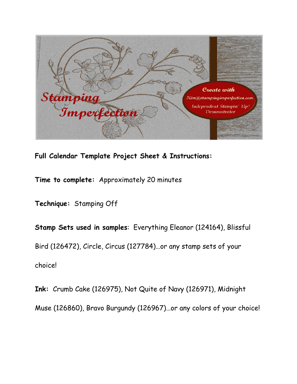

**Full Calendar Template Project Sheet & Instructions:**

**Time to complete:** Approximately 20 minutes

**Technique:** Stamping Off

**Stamp Sets used in samples**: Everything Eleanor (124164), Blissful Bird (126472), Circle, Circus (127784)…or any stamp sets of your choice!

**Ink:** Crumb Cake (126975), Not Quite of Navy (126971), Midnight Muse (126860), Bravo Burgundy (126967)…or any colors of your choice!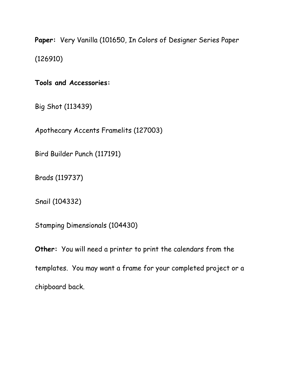**Paper:** Very Vanilla (101650, In Colors of Designer Series Paper (126910)

**Tools and Accessories:**

Big Shot (113439)

Apothecary Accents Framelits (127003)

Bird Builder Punch (117191)

Brads (119737)

Snail (104332)

Stamping Dimensionals (104430)

**Other:** You will need a printer to print the calendars from the templates. You may want a frame for your completed project or a chipboard back.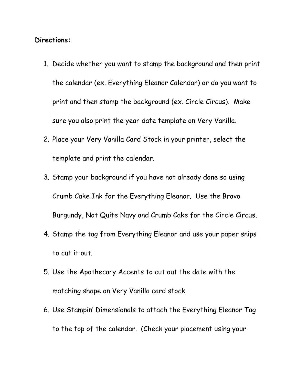## **Directions:**

- 1. Decide whether you want to stamp the background and then print the calendar (ex. Everything Eleanor Calendar) or do you want to print and then stamp the background (ex. Circle Circus). Make sure you also print the year date template on Very Vanilla.
- 2. Place your Very Vanilla Card Stock in your printer, select the template and print the calendar.
- 3. Stamp your background if you have not already done so using Crumb Cake Ink for the Everything Eleanor. Use the Bravo Burgundy, Not Quite Navy and Crumb Cake for the Circle Circus.
- 4. Stamp the tag from Everything Eleanor and use your paper snips to cut it out.
- 5. Use the Apothecary Accents to cut out the date with the matching shape on Very Vanilla card stock.
- 6. Use Stampin' Dimensionals to attach the Everything Eleanor Tag to the top of the calendar. (Check your placement using your